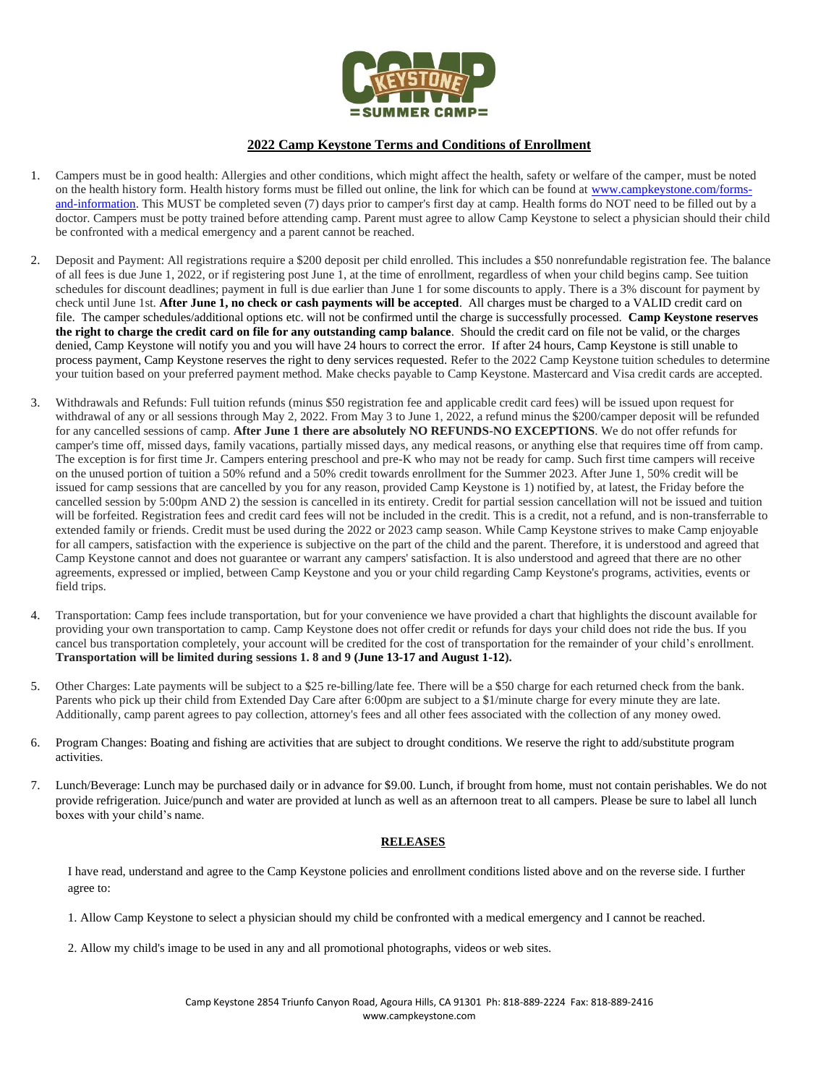

## **2022 Camp Keystone Terms and Conditions of Enrollment**

- 1. Campers must be in good health: Allergies and other conditions, which might affect the health, safety or welfare of the camper, must be noted on the health history form. Health history forms must be filled out online, the link for which can be found a[t www.campkeystone.com/forms](http://www.campkeystone.com/forms-and-information)[and-information.](http://www.campkeystone.com/forms-and-information) This MUST be completed seven (7) days prior to camper's first day at camp. Health forms do NOT need to be filled out by a doctor. Campers must be potty trained before attending camp. Parent must agree to allow Camp Keystone to select a physician should their child be confronted with a medical emergency and a parent cannot be reached.
- 2. Deposit and Payment: All registrations require a \$200 deposit per child enrolled. This includes a \$50 nonrefundable registration fee. The balance of all fees is due June 1, 2022, or if registering post June 1, at the time of enrollment, regardless of when your child begins camp. See tuition schedules for discount deadlines; payment in full is due earlier than June 1 for some discounts to apply. There is a 3% discount for payment by check until June 1st. **After June 1, no check or cash payments will be accepted**. All charges must be charged to a VALID credit card on file. The camper schedules/additional options etc. will not be confirmed until the charge is successfully processed. **Camp Keystone reserves the right to charge the credit card on file for any outstanding camp balance**. Should the credit card on file not be valid, or the charges denied, Camp Keystone will notify you and you will have 24 hours to correct the error. If after 24 hours, Camp Keystone is still unable to process payment, Camp Keystone reserves the right to deny services requested. Refer to the 2022 Camp Keystone tuition schedules to determine your tuition based on your preferred payment method. Make checks payable to Camp Keystone. Mastercard and Visa credit cards are accepted.
- 3. Withdrawals and Refunds: Full tuition refunds (minus \$50 registration fee and applicable credit card fees) will be issued upon request for withdrawal of any or all sessions through May 2, 2022. From May 3 to June 1, 2022, a refund minus the \$200/camper deposit will be refunded for any cancelled sessions of camp. **After June 1 there are absolutely NO REFUNDS-NO EXCEPTIONS**. We do not offer refunds for camper's time off, missed days, family vacations, partially missed days, any medical reasons, or anything else that requires time off from camp. The exception is for first time Jr. Campers entering preschool and pre-K who may not be ready for camp. Such first time campers will receive on the unused portion of tuition a 50% refund and a 50% credit towards enrollment for the Summer 2023. After June 1, 50% credit will be issued for camp sessions that are cancelled by you for any reason, provided Camp Keystone is 1) notified by, at latest, the Friday before the cancelled session by 5:00pm AND 2) the session is cancelled in its entirety. Credit for partial session cancellation will not be issued and tuition will be forfeited. Registration fees and credit card fees will not be included in the credit. This is a credit, not a refund, and is non-transferrable to extended family or friends. Credit must be used during the 2022 or 2023 camp season. While Camp Keystone strives to make Camp enjoyable for all campers, satisfaction with the experience is subjective on the part of the child and the parent. Therefore, it is understood and agreed that Camp Keystone cannot and does not guarantee or warrant any campers' satisfaction. It is also understood and agreed that there are no other agreements, expressed or implied, between Camp Keystone and you or your child regarding Camp Keystone's programs, activities, events or field trips.
- 4. Transportation: Camp fees include transportation, but for your convenience we have provided a chart that highlights the discount available for providing your own transportation to camp. Camp Keystone does not offer credit or refunds for days your child does not ride the bus. If you cancel bus transportation completely, your account will be credited for the cost of transportation for the remainder of your child's enrollment. **Transportation will be limited during sessions 1. 8 and 9 (June 13-17 and August 1-12).**
- 5. Other Charges: Late payments will be subject to a \$25 re-billing/late fee. There will be a \$50 charge for each returned check from the bank. Parents who pick up their child from Extended Day Care after 6:00pm are subject to a \$1/minute charge for every minute they are late. Additionally, camp parent agrees to pay collection, attorney's fees and all other fees associated with the collection of any money owed.
- 6. Program Changes: Boating and fishing are activities that are subject to drought conditions. We reserve the right to add/substitute program activities.
- 7. Lunch/Beverage: Lunch may be purchased daily or in advance for \$9.00. Lunch, if brought from home, must not contain perishables. We do not provide refrigeration. Juice/punch and water are provided at lunch as well as an afternoon treat to all campers. Please be sure to label all lunch boxes with your child's name.

## **RELEASES**

I have read, understand and agree to the Camp Keystone policies and enrollment conditions listed above and on the reverse side. I further agree to:

1. Allow Camp Keystone to select a physician should my child be confronted with a medical emergency and I cannot be reached.

2. Allow my child's image to be used in any and all promotional photographs, videos or web sites.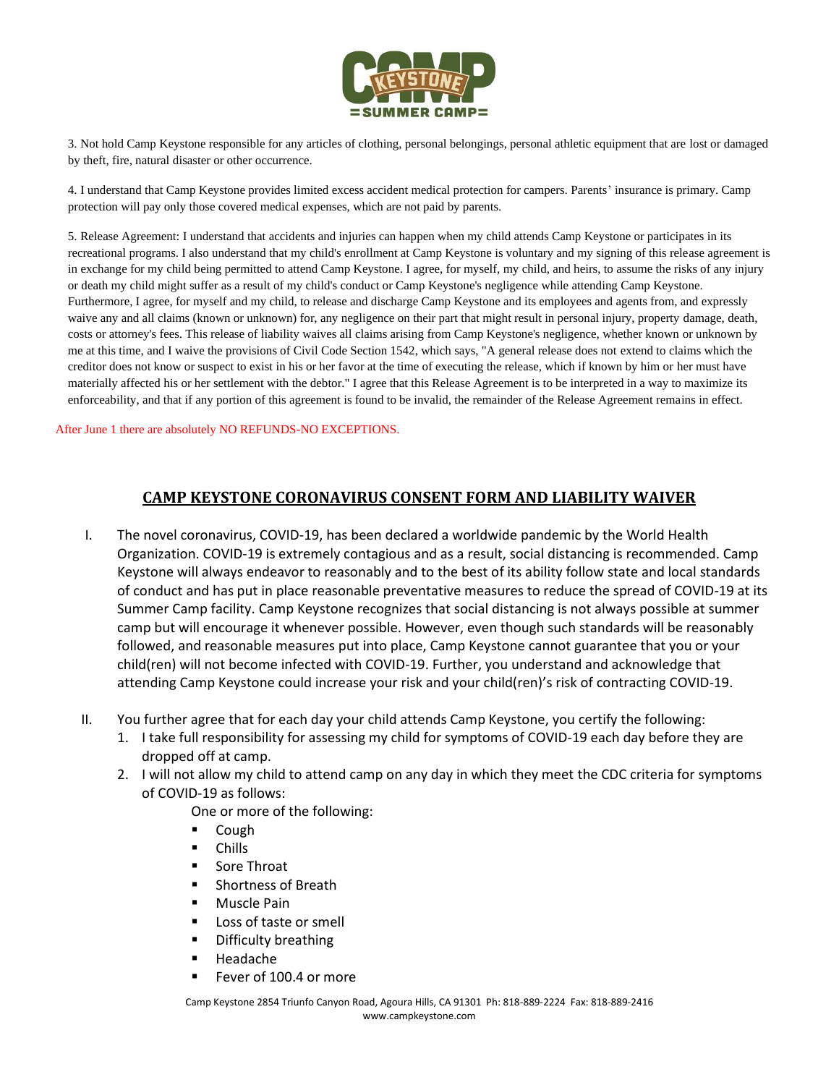

3. Not hold Camp Keystone responsible for any articles of clothing, personal belongings, personal athletic equipment that are lost or damaged by theft, fire, natural disaster or other occurrence.

4. I understand that Camp Keystone provides limited excess accident medical protection for campers. Parents' insurance is primary. Camp protection will pay only those covered medical expenses, which are not paid by parents.

5. Release Agreement: I understand that accidents and injuries can happen when my child attends Camp Keystone or participates in its recreational programs. I also understand that my child's enrollment at Camp Keystone is voluntary and my signing of this release agreement is in exchange for my child being permitted to attend Camp Keystone. I agree, for myself, my child, and heirs, to assume the risks of any injury or death my child might suffer as a result of my child's conduct or Camp Keystone's negligence while attending Camp Keystone. Furthermore, I agree, for myself and my child, to release and discharge Camp Keystone and its employees and agents from, and expressly waive any and all claims (known or unknown) for, any negligence on their part that might result in personal injury, property damage, death, costs or attorney's fees. This release of liability waives all claims arising from Camp Keystone's negligence, whether known or unknown by me at this time, and I waive the provisions of Civil Code Section 1542, which says, "A general release does not extend to claims which the creditor does not know or suspect to exist in his or her favor at the time of executing the release, which if known by him or her must have materially affected his or her settlement with the debtor." I agree that this Release Agreement is to be interpreted in a way to maximize its enforceability, and that if any portion of this agreement is found to be invalid, the remainder of the Release Agreement remains in effect.

After June 1 there are absolutely NO REFUNDS-NO EXCEPTIONS.

## **CAMP KEYSTONE CORONAVIRUS CONSENT FORM AND LIABILITY WAIVER**

- I. The novel coronavirus, COVID-19, has been declared a worldwide pandemic by the World Health Organization. COVID-19 is extremely contagious and as a result, social distancing is recommended. Camp Keystone will always endeavor to reasonably and to the best of its ability follow state and local standards of conduct and has put in place reasonable preventative measures to reduce the spread of COVID-19 at its Summer Camp facility. Camp Keystone recognizes that social distancing is not always possible at summer camp but will encourage it whenever possible. However, even though such standards will be reasonably followed, and reasonable measures put into place, Camp Keystone cannot guarantee that you or your child(ren) will not become infected with COVID-19. Further, you understand and acknowledge that attending Camp Keystone could increase your risk and your child(ren)'s risk of contracting COVID-19.
- II. You further agree that for each day your child attends Camp Keystone, you certify the following:
	- 1. I take full responsibility for assessing my child for symptoms of COVID-19 each day before they are dropped off at camp.
	- 2. I will not allow my child to attend camp on any day in which they meet the CDC criteria for symptoms of COVID-19 as follows:

One or more of the following:

- **Cough**
- Chills
- Sore Throat
- Shortness of Breath
- Muscle Pain
- Loss of taste or smell
- Difficulty breathing
- Headache
- Fever of 100.4 or more

Camp Keystone 2854 Triunfo Canyon Road, Agoura Hills, CA 91301 Ph: 818-889-2224 Fax: 818-889-2416 www.campkeystone.com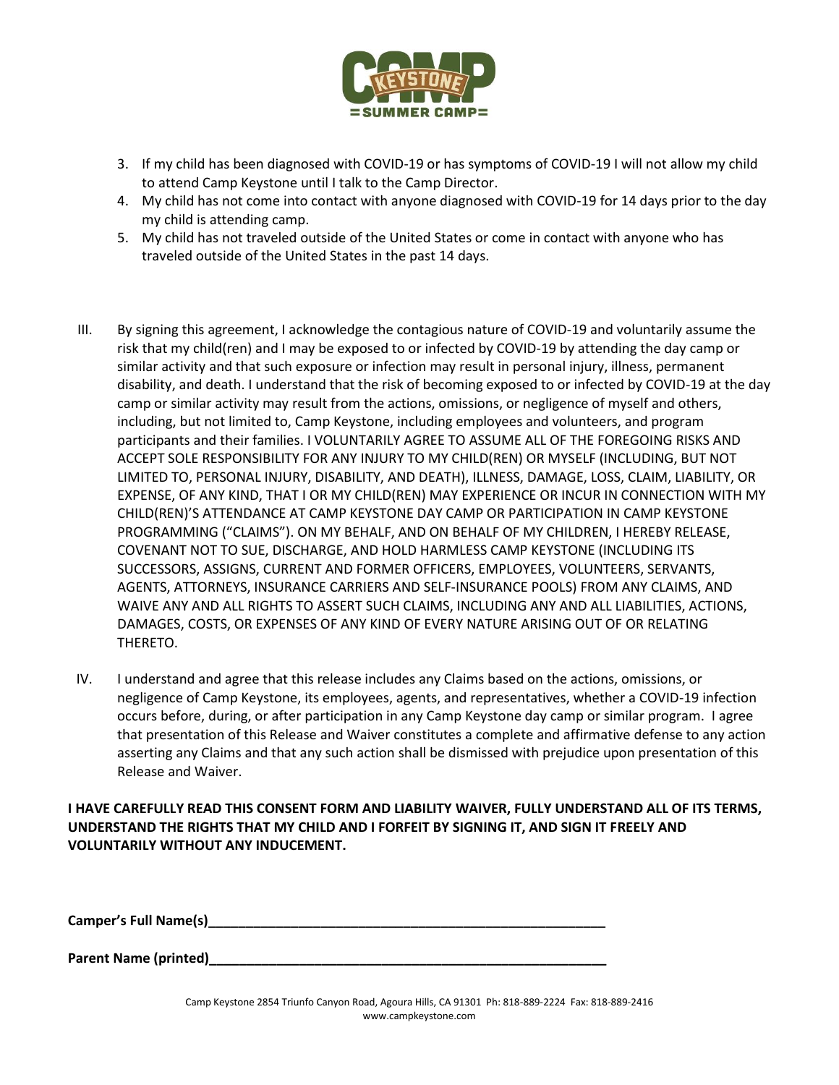

- 3. If my child has been diagnosed with COVID-19 or has symptoms of COVID-19 I will not allow my child to attend Camp Keystone until I talk to the Camp Director.
- 4. My child has not come into contact with anyone diagnosed with COVID-19 for 14 days prior to the day my child is attending camp.
- 5. My child has not traveled outside of the United States or come in contact with anyone who has traveled outside of the United States in the past 14 days.
- III. By signing this agreement, I acknowledge the contagious nature of COVID-19 and voluntarily assume the risk that my child(ren) and I may be exposed to or infected by COVID-19 by attending the day camp or similar activity and that such exposure or infection may result in personal injury, illness, permanent disability, and death. I understand that the risk of becoming exposed to or infected by COVID-19 at the day camp or similar activity may result from the actions, omissions, or negligence of myself and others, including, but not limited to, Camp Keystone, including employees and volunteers, and program participants and their families. I VOLUNTARILY AGREE TO ASSUME ALL OF THE FOREGOING RISKS AND ACCEPT SOLE RESPONSIBILITY FOR ANY INJURY TO MY CHILD(REN) OR MYSELF (INCLUDING, BUT NOT LIMITED TO, PERSONAL INJURY, DISABILITY, AND DEATH), ILLNESS, DAMAGE, LOSS, CLAIM, LIABILITY, OR EXPENSE, OF ANY KIND, THAT I OR MY CHILD(REN) MAY EXPERIENCE OR INCUR IN CONNECTION WITH MY CHILD(REN)'S ATTENDANCE AT CAMP KEYSTONE DAY CAMP OR PARTICIPATION IN CAMP KEYSTONE PROGRAMMING ("CLAIMS"). ON MY BEHALF, AND ON BEHALF OF MY CHILDREN, I HEREBY RELEASE, COVENANT NOT TO SUE, DISCHARGE, AND HOLD HARMLESS CAMP KEYSTONE (INCLUDING ITS SUCCESSORS, ASSIGNS, CURRENT AND FORMER OFFICERS, EMPLOYEES, VOLUNTEERS, SERVANTS, AGENTS, ATTORNEYS, INSURANCE CARRIERS AND SELF-INSURANCE POOLS) FROM ANY CLAIMS, AND WAIVE ANY AND ALL RIGHTS TO ASSERT SUCH CLAIMS, INCLUDING ANY AND ALL LIABILITIES, ACTIONS, DAMAGES, COSTS, OR EXPENSES OF ANY KIND OF EVERY NATURE ARISING OUT OF OR RELATING THERETO.
- IV. I understand and agree that this release includes any Claims based on the actions, omissions, or negligence of Camp Keystone, its employees, agents, and representatives, whether a COVID-19 infection occurs before, during, or after participation in any Camp Keystone day camp or similar program. I agree that presentation of this Release and Waiver constitutes a complete and affirmative defense to any action asserting any Claims and that any such action shall be dismissed with prejudice upon presentation of this Release and Waiver.

**I HAVE CAREFULLY READ THIS CONSENT FORM AND LIABILITY WAIVER, FULLY UNDERSTAND ALL OF ITS TERMS, UNDERSTAND THE RIGHTS THAT MY CHILD AND I FORFEIT BY SIGNING IT, AND SIGN IT FREELY AND VOLUNTARILY WITHOUT ANY INDUCEMENT.**

Camper's Full Name(s)

**Parent Name (printed)**